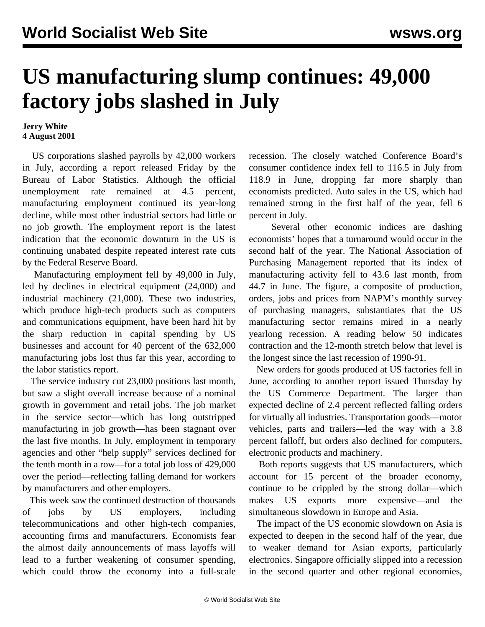## **US manufacturing slump continues: 49,000 factory jobs slashed in July**

**Jerry White 4 August 2001**

 US corporations slashed payrolls by 42,000 workers in July, according a report released Friday by the Bureau of Labor Statistics. Although the official unemployment rate remained at 4.5 percent, manufacturing employment continued its year-long decline, while most other industrial sectors had little or no job growth. The employment report is the latest indication that the economic downturn in the US is continuing unabated despite repeated interest rate cuts by the Federal Reserve Board.

 Manufacturing employment fell by 49,000 in July, led by declines in electrical equipment (24,000) and industrial machinery (21,000). These two industries, which produce high-tech products such as computers and communications equipment, have been hard hit by the sharp reduction in capital spending by US businesses and account for 40 percent of the 632,000 manufacturing jobs lost thus far this year, according to the labor statistics report.

 The service industry cut 23,000 positions last month, but saw a slight overall increase because of a nominal growth in government and retail jobs. The job market in the service sector—which has long outstripped manufacturing in job growth—has been stagnant over the last five months. In July, employment in temporary agencies and other "help supply" services declined for the tenth month in a row—for a total job loss of 429,000 over the period—reflecting falling demand for workers by manufacturers and other employers.

 This week saw the continued destruction of thousands of jobs by US employers, including telecommunications and other high-tech companies, accounting firms and manufacturers. Economists fear the almost daily announcements of mass layoffs will lead to a further weakening of consumer spending, which could throw the economy into a full-scale recession. The closely watched Conference Board's consumer confidence index fell to 116.5 in July from 118.9 in June, dropping far more sharply than economists predicted. Auto sales in the US, which had remained strong in the first half of the year, fell 6 percent in July.

 Several other economic indices are dashing economists' hopes that a turnaround would occur in the second half of the year. The National Association of Purchasing Management reported that its index of manufacturing activity fell to 43.6 last month, from 44.7 in June. The figure, a composite of production, orders, jobs and prices from NAPM's monthly survey of purchasing managers, substantiates that the US manufacturing sector remains mired in a nearly yearlong recession. A reading below 50 indicates contraction and the 12-month stretch below that level is the longest since the last recession of 1990-91.

 New orders for goods produced at US factories fell in June, according to another report issued Thursday by the US Commerce Department. The larger than expected decline of 2.4 percent reflected falling orders for virtually all industries. Transportation goods—motor vehicles, parts and trailers—led the way with a 3.8 percent falloff, but orders also declined for computers, electronic products and machinery.

 Both reports suggests that US manufacturers, which account for 15 percent of the broader economy, continue to be crippled by the strong dollar—which makes US exports more expensive—and the simultaneous slowdown in Europe and Asia.

 The impact of the US economic slowdown on Asia is expected to deepen in the second half of the year, due to weaker demand for Asian exports, particularly electronics. Singapore officially slipped into a recession in the second quarter and other regional economies,